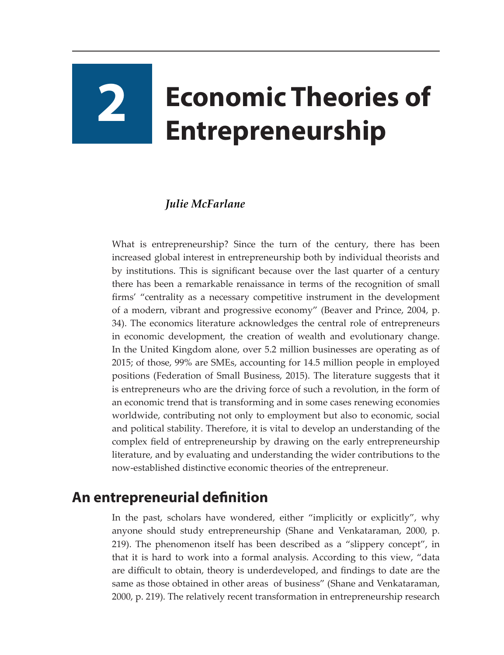# **2 Economic Theories of Entrepreneurship**

## *Julie McFarlane*

What is entrepreneurship? Since the turn of the century, there has been increased global interest in entrepreneurship both by individual theorists and by institutions. This is significant because over the last quarter of a century there has been a remarkable renaissance in terms of the recognition of small firms' "centrality as a necessary competitive instrument in the development of a modern, vibrant and progressive economy" (Beaver and Prince, 2004, p. 34). The economics literature acknowledges the central role of entrepreneurs in economic development, the creation of wealth and evolutionary change. In the United Kingdom alone, over 5.2 million businesses are operating as of 2015; of those, 99% are SMEs, accounting for 14.5 million people in employed positions (Federation of Small Business, 2015). The literature suggests that it is entrepreneurs who are the driving force of such a revolution, in the form of an economic trend that is transforming and in some cases renewing economies worldwide, contributing not only to employment but also to economic, social and political stability. Therefore, it is vital to develop an understanding of the complex field of entrepreneurship by drawing on the early entrepreneurship literature, and by evaluating and understanding the wider contributions to the now-established distinctive economic theories of the entrepreneur.

## **An entrepreneurial definition**

In the past, scholars have wondered, either "implicitly or explicitly", why anyone should study entrepreneurship (Shane and Venkataraman, 2000, p. 219). The phenomenon itself has been described as a "slippery concept", in that it is hard to work into a formal analysis. According to this view, "data are difficult to obtain, theory is underdeveloped, and findings to date are the same as those obtained in other areas of business" (Shane and Venkataraman, 2000, p. 219). The relatively recent transformation in entrepreneurship research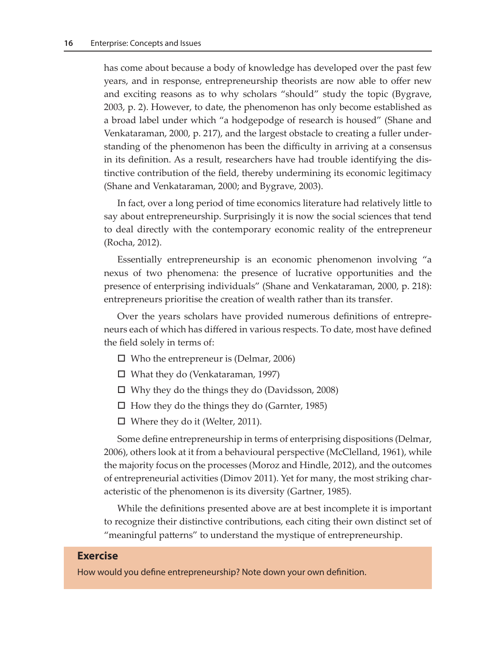has come about because a body of knowledge has developed over the past few years, and in response, entrepreneurship theorists are now able to offer new and exciting reasons as to why scholars "should" study the topic (Bygrave, 2003, p. 2). However, to date, the phenomenon has only become established as a broad label under which "a hodgepodge of research is housed" (Shane and Venkataraman, 2000, p. 217), and the largest obstacle to creating a fuller understanding of the phenomenon has been the difficulty in arriving at a consensus in its definition. As a result, researchers have had trouble identifying the distinctive contribution of the field, thereby undermining its economic legitimacy (Shane and Venkataraman, 2000; and Bygrave, 2003).

In fact, over a long period of time economics literature had relatively little to say about entrepreneurship. Surprisingly it is now the social sciences that tend to deal directly with the contemporary economic reality of the entrepreneur (Rocha, 2012).

Essentially entrepreneurship is an economic phenomenon involving "a nexus of two phenomena: the presence of lucrative opportunities and the presence of enterprising individuals" (Shane and Venkataraman, 2000, p. 218): entrepreneurs prioritise the creation of wealth rather than its transfer.

Over the years scholars have provided numerous definitions of entrepreneurs each of which has differed in various respects. To date, most have defined the field solely in terms of:

- $\Box$  Who the entrepreneur is (Delmar, 2006)
- What they do (Venkataraman, 1997)
- $\Box$  Why they do the things they do (Davidsson, 2008)
- $\Box$  How they do the things they do (Garnter, 1985)
- $\Box$  Where they do it (Welter, 2011).

Some define entrepreneurship in terms of enterprising dispositions (Delmar, 2006), others look at it from a behavioural perspective (McClelland, 1961), while the majority focus on the processes (Moroz and Hindle, 2012), and the outcomes of entrepreneurial activities (Dimov 2011). Yet for many, the most striking characteristic of the phenomenon is its diversity (Gartner, 1985).

While the definitions presented above are at best incomplete it is important to recognize their distinctive contributions, each citing their own distinct set of "meaningful patterns" to understand the mystique of entrepreneurship.

#### **Exercise**

How would you define entrepreneurship? Note down your own definition.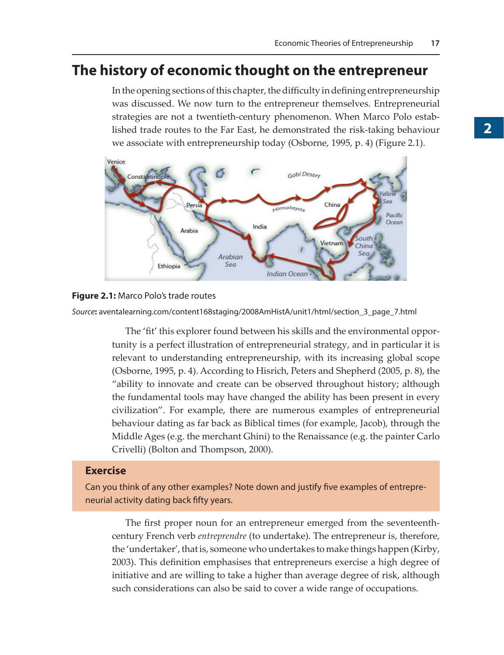## **The history of economic thought on the entrepreneur**

In the opening sections of this chapter, the difficulty in defining entrepreneurship was discussed. We now turn to the entrepreneur themselves. Entrepreneurial strategies are not a twentieth-century phenomenon. When Marco Polo established trade routes to the Far East, he demonstrated the risk-taking behaviour we associate with entrepreneurship today (Osborne, 1995, p. 4) (Figure 2.1).



#### **Figure 2.1:** Marco Polo's trade routes

*Source***:** aventalearning.com/content168staging/2008AmHistA/unit1/html/section\_3\_page\_7.html

The 'fit' this explorer found between his skills and the environmental opportunity is a perfect illustration of entrepreneurial strategy, and in particular it is relevant to understanding entrepreneurship, with its increasing global scope (Osborne, 1995, p. 4). According to Hisrich, Peters and Shepherd (2005, p. 8), the "ability to innovate and create can be observed throughout history; although the fundamental tools may have changed the ability has been present in every civilization". For example, there are numerous examples of entrepreneurial behaviour dating as far back as Biblical times (for example, Jacob), through the Middle Ages (e.g. the merchant Ghini) to the Renaissance (e.g. the painter Carlo Crivelli) (Bolton and Thompson, 2000).

## **Exercise**

Can you think of any other examples? Note down and justify five examples of entrepreneurial activity dating back fifty years.

The first proper noun for an entrepreneur emerged from the seventeenthcentury French verb *entreprendre* (to undertake). The entrepreneur is, therefore, the 'undertaker', that is, someone who undertakes to make things happen (Kirby, 2003). This definition emphasises that entrepreneurs exercise a high degree of initiative and are willing to take a higher than average degree of risk, although such considerations can also be said to cover a wide range of occupations.